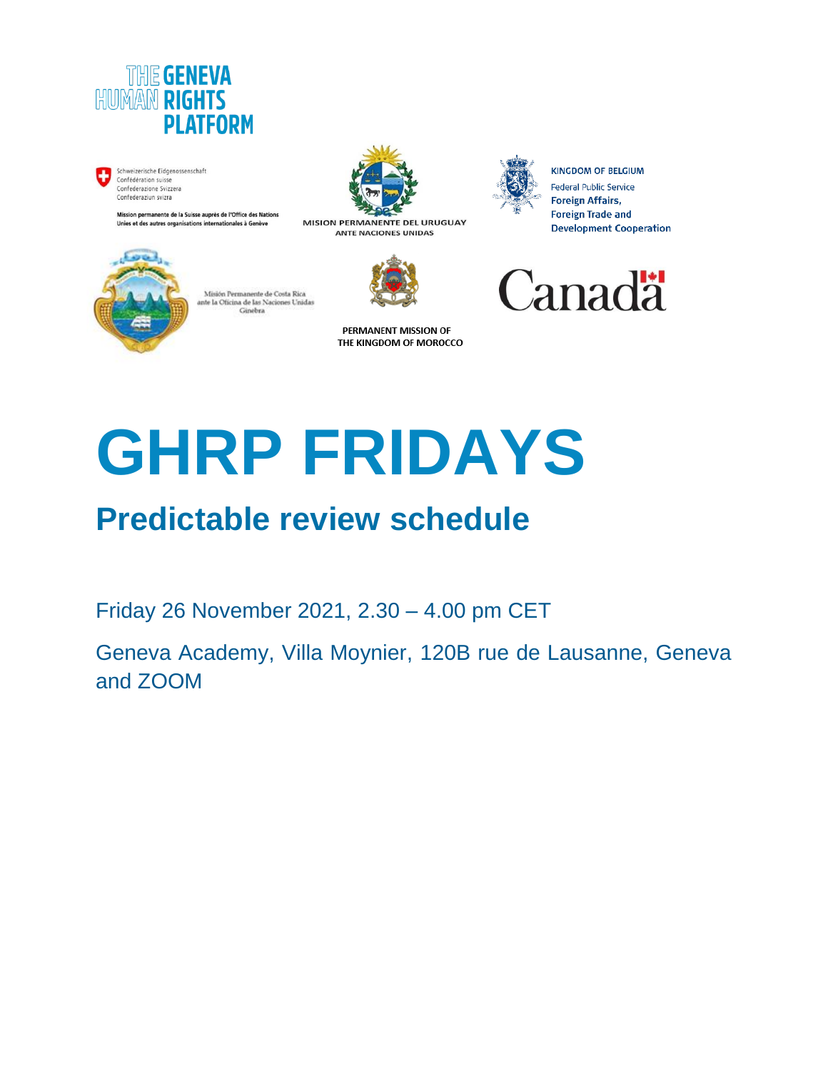

Schweizerische Eidgenossenschaft Confédération suisse Confederazione Svizzera<br>Confederaziun svizra

> lission permanente de la Suisse auprès de l'Office des Nations Unies et des autres organisations internationales à Genève



MISION PERMANENTE DEL URUGUAY **ANTE NACIONES UNIDAS** 



**KINGDOM OF BELGIUM** Federal Public Service **Foreign Affairs, Foreign Trade and Development Cooperation** 



Misión Permanente de Costa Rica  $% \left\{ \left( \left\langle \phi ,\phi \right\rangle \right) \right\}$ ante la Oficina de las Naciones Unidas Ginebra

PERMANENT MISSION OF THE KINGDOM OF MOROCCO

# **GHRP FRIDAYS**

## **Predictable review schedule**

Friday 26 November 2021, 2.30 – 4.00 pm CET

Geneva Academy, Villa Moynier, 120B rue de Lausanne, Geneva and ZOOM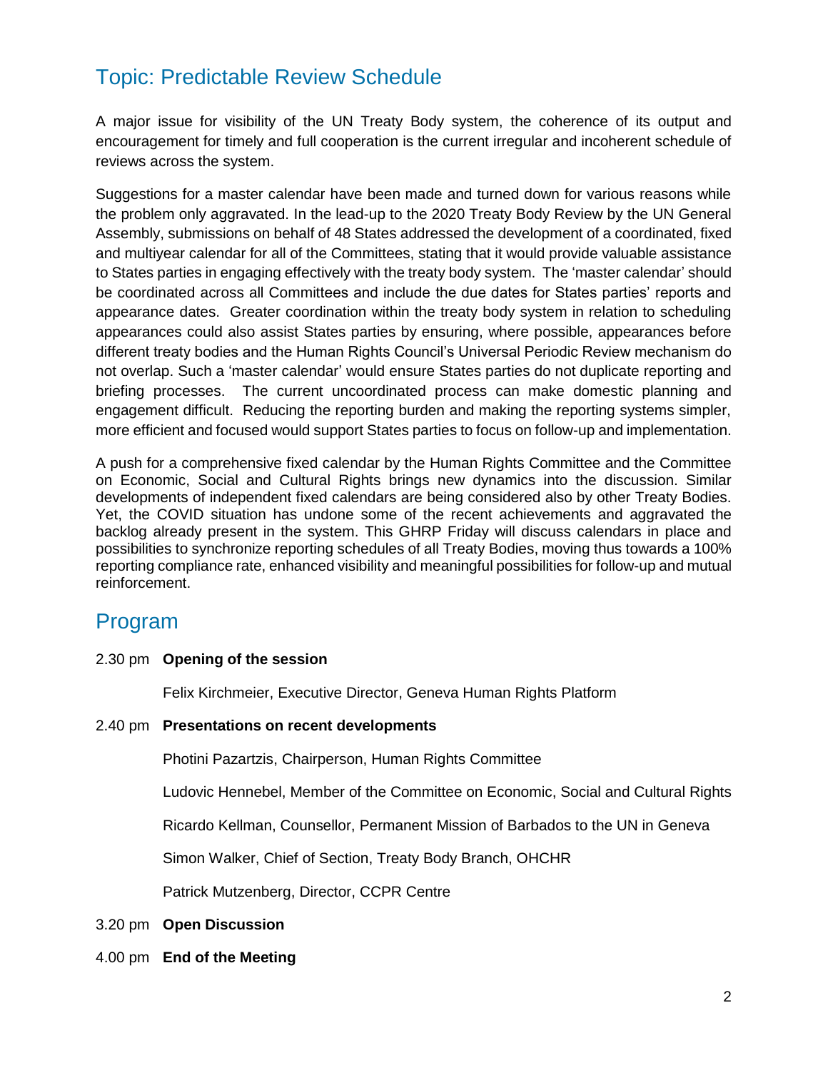## Topic: Predictable Review Schedule

A major issue for visibility of the UN Treaty Body system, the coherence of its output and encouragement for timely and full cooperation is the current irregular and incoherent schedule of reviews across the system.

Suggestions for a master calendar have been made and turned down for various reasons while the problem only aggravated. In the lead-up to the 2020 Treaty Body Review by the UN General Assembly, submissions on behalf of 48 States addressed the development of a coordinated, fixed and multiyear calendar for all of the Committees, stating that it would provide valuable assistance to States parties in engaging effectively with the treaty body system. The 'master calendar' should be coordinated across all Committees and include the due dates for States parties' reports and appearance dates. Greater coordination within the treaty body system in relation to scheduling appearances could also assist States parties by ensuring, where possible, appearances before different treaty bodies and the Human Rights Council's Universal Periodic Review mechanism do not overlap. Such a 'master calendar' would ensure States parties do not duplicate reporting and briefing processes. The current uncoordinated process can make domestic planning and engagement difficult. Reducing the reporting burden and making the reporting systems simpler, more efficient and focused would support States parties to focus on follow-up and implementation.

A push for a comprehensive fixed calendar by the Human Rights Committee and the Committee on Economic, Social and Cultural Rights brings new dynamics into the discussion. Similar developments of independent fixed calendars are being considered also by other Treaty Bodies. Yet, the COVID situation has undone some of the recent achievements and aggravated the backlog already present in the system. This GHRP Friday will discuss calendars in place and possibilities to synchronize reporting schedules of all Treaty Bodies, moving thus towards a 100% reporting compliance rate, enhanced visibility and meaningful possibilities for follow-up and mutual reinforcement.

#### Program

#### 2.30 pm **Opening of the session**

Felix Kirchmeier, Executive Director, Geneva Human Rights Platform

#### 2.40 pm **Presentations on recent developments**

Photini Pazartzis, Chairperson, Human Rights Committee

Ludovic Hennebel, Member of the Committee on Economic, Social and Cultural Rights

Ricardo Kellman, Counsellor, Permanent Mission of Barbados to the UN in Geneva

Simon Walker, Chief of Section, Treaty Body Branch, OHCHR

Patrick Mutzenberg, Director, CCPR Centre

- 3.20 pm **Open Discussion**
- 4.00 pm **End of the Meeting**